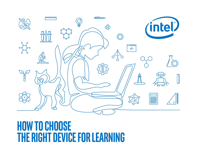### <mark>i u u u u u u u u u</mark>  $\overline{a}$ **人民** (intel)  $\bigotimes$ <u>n | n</u>  $\bigcirc$  $\begin{matrix} 3 & 3 & 3 & 3 \ 3 & 3 & 3 & 3 \ 3 & 3 & 3 & 3 \end{matrix}$  $\langle \rangle$ ₼  $o = o$ </u> **THE PARTIES**

# **How to Choose the Right Device for learning**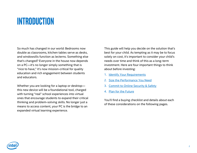## **Introduction**

So much has changed in our world: Bedrooms now double as classrooms, kitchen tables serve as desks, and windowsills function as lecterns. Something else that's changed? Everyone in the house now depends on a PC—it's no longer simply something that is "nice to have," it's now mission-critical for quality education and rich engagement between students and educators.

Whether you are looking for a laptop or desktop this new device will be a foundational tool, charged with turning "real" school experiences into virtual ones that encourage students to expand their critical thinking and problem-solving skills. No longer just a means to access content, your PC is the bridge to an expanded virtual learning experience.

This guide will help you decide on the solution that's best for your child. As tempting as it may be to focus solely on cost, it's important to consider your child's needs over time and think of this as a long-term investment. Here are four important things to think about before investing:

- 1. [Identify Your Requirements](#page-2-0)
- 2. [Size the Performance You Need](#page-3-0)
- 3. [Commit to Online Security & Safety](#page-4-0)
- 4. [Plan for the Future](#page-5-0)

You'll find a buying checklist and details about each of these considerations on the following pages.

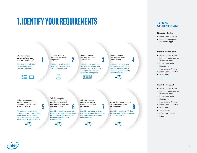## <span id="page-2-0"></span>**1. Identify Your Requirements**



#### **TYPICAL STUDENT USAGE**

#### **Elementary Student**

- **Digital Content Access**
- Remote Learning Access Educational Apps **\_\_\_\_\_\_\_\_\_\_\_\_\_\_\_\_\_\_\_\_\_\_\_\_\_\_**

#### **Middle School Student**

- Digital Content Access
- Remote Learning Access Educational Apps
- **•** Productivity Tools
- Multitasking
- Programming /Coding
- **•** Digital Content Creation

**\_\_\_\_\_\_\_\_\_\_\_\_\_\_\_\_\_\_\_\_\_\_\_\_\_\_**

■ Data Science

#### **High School Student**

- **•** Digital Content Access
- Remote Learning Access Educational Apps
- **•** Productivity Tools
- Multitasking
- Programming /Coding
- **•** Digital Content Creation
- Data Science
- **·** Sim/Modeling
- AI/Machine Learning
- Esports

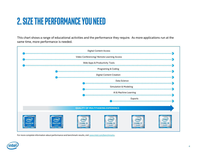## <span id="page-3-0"></span>**2. Size the Performance You Need**

This chart shows a range of educational activities and the performance they require. As more applications run at the same time, more performance is needed.



For more complete information about performance and benchmark results, visit [www.intel.com/benchmarks](http://www.intel.com/benchmarks).

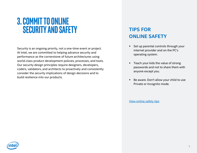## <span id="page-4-0"></span>**3. Commit to Online Security and Safety**

Security is an ongoing priority, not a one-time event or project. At Intel, we are committed to helping advance security and performance as the cornerstone of future architectures using world-class product development policies, processes, and tools. Our security design principles require designers, developers, coders, validators, and architects to proactively and consistently consider the security implications of design decisions and to build resilience into our products.

### **TIPS FOR ONLINE SAFETY**

- Set up parental controls through your internet provider and on the PC's operating system.
- Teach your kids the value of strong passwords and not to share them with anyone except you.
- Be aware. Don't allow your child to use Private or Incognito mode.

[View online safety tips](https://www.k12blueprint.com/sites/default/files/attachments/9 Online Safety Tips_0.pdf)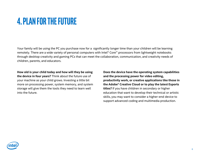## <span id="page-5-0"></span>**4. Plan for the Future**

Your family will be using the PC you purchase now for a significantly longer time than your children will be learning remotely. There are a wide variety of personal computers with Intel® Core™ processors from lightweight notebooks through desktop creativity and gaming PCs that can meet the collaboration, communication, and creativity needs of children, parents, and educators.

**How old is your child today and how will they be using the device in four years?** Think about the future use of your machine as your child grows. Investing a little bit more on processing power, system memory, and system storage will give them the tools they need to learn well into the future.

**Does the device have the operating system capabilities and the processing power for video editing, productivity work, or creative applications like those in the Adobe\* Creative Cloud or to play the latest Esports titles?** If you have children in secondary or higher education that want to develop their technical or artistic skills, you may want to consider a higher-end device to support advanced coding and multimedia production.

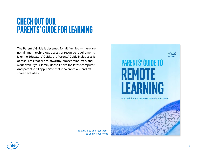## **Check out our Parents' Guide for Learning**

The Parent's' Guide is designed for all families — there are no minimum technology access or resource requirements. Like the Educators' Guide, the Parents' Guide includes a list of resources that are trustworthy, subscription-free, and work even if your family doesn't have the latest computer. And parents will appreciate that it balances on- and offscreen activities.



Practical tips and resources to use in your home